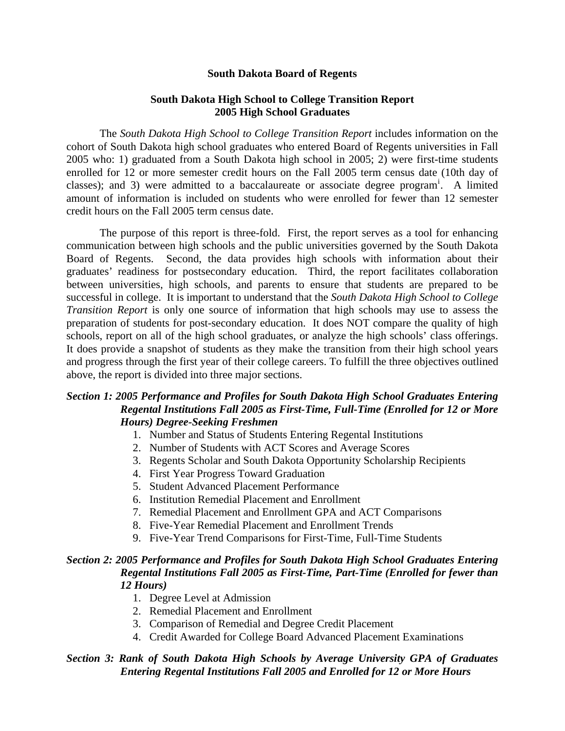### **South Dakota Board of Regents**

### **South Dakota High School to College Transition Report 2005 High School Graduates**

The *South Dakota High School to College Transition Report* includes information on the cohort of South Dakota high school graduates who entered Board of Regents universities in Fall 2005 who: 1) graduated from a South Dakota high school in 2005; 2) were first-time students enrolled for 12 or more semester credit hours on the Fall 2005 term census date (10th day of classes); and 3) were adm[i](#page-14-0)tted to a baccalaureate or associate degree program<sup>i</sup>. A limited amount of information is included on students who were enrolled for fewer than 12 semester credit hours on the Fall 2005 term census date.

The purpose of this report is three-fold. First, the report serves as a tool for enhancing communication between high schools and the public universities governed by the South Dakota Board of Regents. Second, the data provides high schools with information about their graduates' readiness for postsecondary education. Third, the report facilitates collaboration between universities, high schools, and parents to ensure that students are prepared to be successful in college. It is important to understand that the *South Dakota High School to College Transition Report* is only one source of information that high schools may use to assess the preparation of students for post-secondary education. It does NOT compare the quality of high schools, report on all of the high school graduates, or analyze the high schools' class offerings. It does provide a snapshot of students as they make the transition from their high school years and progress through the first year of their college careers. To fulfill the three objectives outlined above, the report is divided into three major sections.

# *Section 1: 2005 Performance and Profiles for South Dakota High School Graduates Entering Regental Institutions Fall 2005 as First-Time, Full-Time (Enrolled for 12 or More Hours) Degree-Seeking Freshmen*

- 1. Number and Status of Students Entering Regental Institutions
- 2. Number of Students with ACT Scores and Average Scores
- 3. Regents Scholar and South Dakota Opportunity Scholarship Recipients
- 4. First Year Progress Toward Graduation
- 5. Student Advanced Placement Performance
- 6. Institution Remedial Placement and Enrollment
- 7. Remedial Placement and Enrollment GPA and ACT Comparisons
- 8. Five-Year Remedial Placement and Enrollment Trends
- 9. Five-Year Trend Comparisons for First-Time, Full-Time Students

# *Section 2: 2005 Performance and Profiles for South Dakota High School Graduates Entering Regental Institutions Fall 2005 as First-Time, Part-Time (Enrolled for fewer than 12 Hours)*

- 1. Degree Level at Admission
- 2. Remedial Placement and Enrollment
- 3. Comparison of Remedial and Degree Credit Placement
- 4. Credit Awarded for College Board Advanced Placement Examinations

### *Section 3: Rank of South Dakota High Schools by Average University GPA of Graduates Entering Regental Institutions Fall 2005 and Enrolled for 12 or More Hours*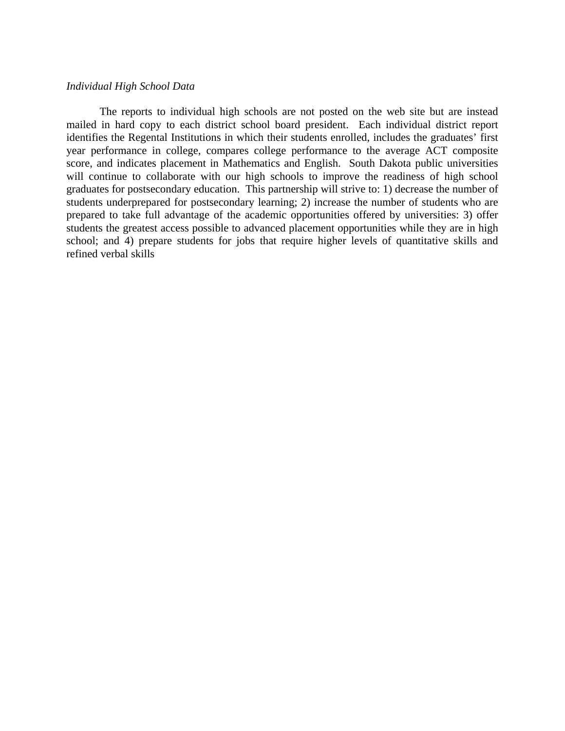### *Individual High School Data*

The reports to individual high schools are not posted on the web site but are instead mailed in hard copy to each district school board president. Each individual district report identifies the Regental Institutions in which their students enrolled, includes the graduates' first year performance in college, compares college performance to the average ACT composite score, and indicates placement in Mathematics and English. South Dakota public universities will continue to collaborate with our high schools to improve the readiness of high school graduates for postsecondary education. This partnership will strive to: 1) decrease the number of students underprepared for postsecondary learning; 2) increase the number of students who are prepared to take full advantage of the academic opportunities offered by universities: 3) offer students the greatest access possible to advanced placement opportunities while they are in high school; and 4) prepare students for jobs that require higher levels of quantitative skills and refined verbal skills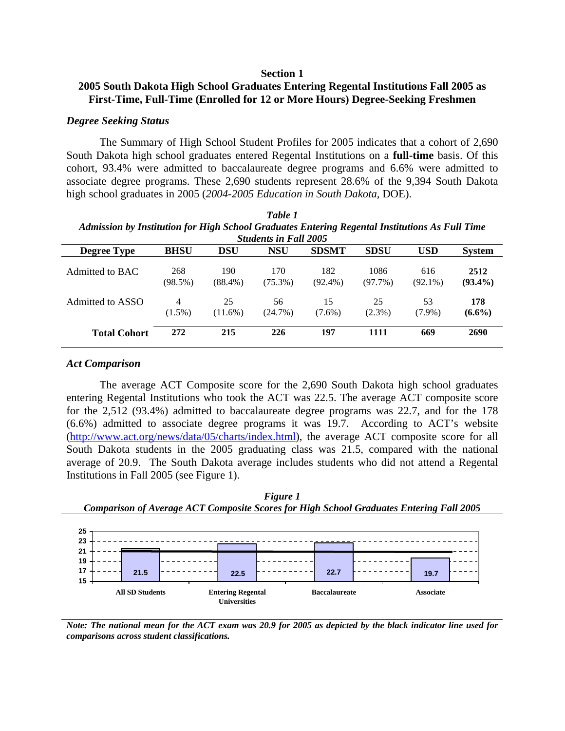#### **Section 1**

# **2005 South Dakota High School Graduates Entering Regental Institutions Fall 2005 as First-Time, Full-Time (Enrolled for 12 or More Hours) Degree-Seeking Freshmen**

### *Degree Seeking Status*

The Summary of High School Student Profiles for 2005 indicates that a cohort of 2,690 South Dakota high school graduates entered Regental Institutions on a **full-time** basis. Of this cohort, 93.4% were admitted to baccalaureate degree programs and 6.6% were admitted to associate degree programs. These 2,690 students represent 28.6% of the 9,394 South Dakota high school graduates in 2005 (*2004-2005 Education in South Dakota,* DOE).

| Admission by Institution for High School Graduates Entering Regental Institutions As Full Time<br><b>Students in Fall 2005</b> |                   |                   |                   |                   |                    |                   |                    |  |  |
|--------------------------------------------------------------------------------------------------------------------------------|-------------------|-------------------|-------------------|-------------------|--------------------|-------------------|--------------------|--|--|
| <b>Degree Type</b>                                                                                                             | <b>BHSU</b>       | <b>DSU</b>        | <b>NSU</b>        | <b>SDSMT</b>      | <b>SDSU</b>        | <b>USD</b>        | <b>System</b>      |  |  |
| Admitted to BAC                                                                                                                | 268<br>$(98.5\%)$ | 190<br>$(88.4\%)$ | 170<br>$(75.3\%)$ | 182<br>$(92.4\%)$ | 1086<br>$(97.7\%)$ | 616<br>$(92.1\%)$ | 2512<br>$(93.4\%)$ |  |  |
| Admitted to ASSO                                                                                                               | 4<br>$(1.5\%)$    | 25<br>$(11.6\%)$  | 56<br>(24.7%)     | 15<br>$(7.6\%)$   | 25<br>$(2.3\%)$    | 53<br>$(7.9\%)$   | 178<br>$(6.6\%)$   |  |  |
| <b>Total Cohort</b>                                                                                                            | 272               | 215               | 226               | 197               | 1111               | 669               | 2690               |  |  |

| Table 1                                                                                        |
|------------------------------------------------------------------------------------------------|
| Admission by Institution for High School Graduates Entering Regental Institutions As Full Time |
| Students in Fall 2005                                                                          |

#### *Act Comparison*

The average ACT Composite score for the 2,690 South Dakota high school graduates entering Regental Institutions who took the ACT was 22.5. The average ACT composite score for the 2,512 (93.4%) admitted to baccalaureate degree programs was 22.7, and for the 178 (6.6%) admitted to associate degree programs it was 19.7. According to ACT's website ([http://www.act.org/news/data/05/charts/index.html\)](http://www.act.org/news/data/05/charts/index.html), the average ACT composite score for all South Dakota students in the 2005 graduating class was 21.5, compared with the national average of 20.9. The South Dakota average includes students who did not attend a Regental Institutions in Fall 2005 (see Figure 1).





*Note: The national mean for the ACT exam was 20.9 for 2005 as depicted by the black indicator line used for comparisons across student classifications.*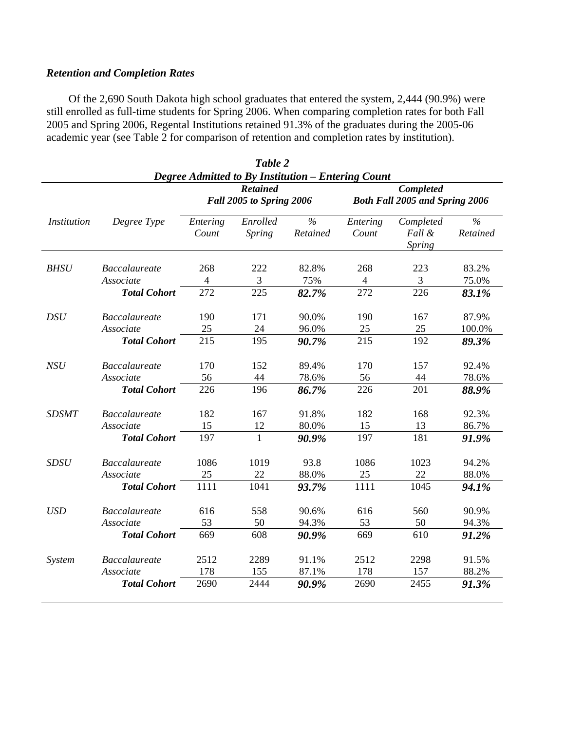# *Retention and Completion Rates*

Of the 2,690 South Dakota high school graduates that entered the system, 2,444 (90.9%) were still enrolled as full-time students for Spring 2006. When comparing completion rates for both Fall 2005 and Spring 2006, Regental Institutions retained 91.3% of the graduates during the 2005-06 academic year (see Table 2 for comparison of retention and completion rates by institution).

|                    |                      |                   | Table 2<br><b>Degree Admitted to By Institution – Entering Count</b> |                           |                                                           |                               |                           |  |
|--------------------|----------------------|-------------------|----------------------------------------------------------------------|---------------------------|-----------------------------------------------------------|-------------------------------|---------------------------|--|
|                    |                      |                   | <b>Retained</b><br>Fall 2005 to Spring 2006                          |                           | <b>Completed</b><br><b>Both Fall 2005 and Spring 2006</b> |                               |                           |  |
| <b>Institution</b> | Degree Type          | Entering<br>Count | Enrolled<br>Spring                                                   | $\frac{6}{6}$<br>Retained | Entering<br>Count                                         | Completed<br>Fall &<br>Spring | $\frac{0}{6}$<br>Retained |  |
| <b>BHSU</b>        | <b>Baccalaureate</b> | 268               | 222                                                                  | 82.8%                     | 268                                                       | 223                           | 83.2%                     |  |
|                    | Associate            | $\overline{4}$    | 3                                                                    | 75%                       | $\overline{4}$                                            | $\overline{3}$                | 75.0%                     |  |
|                    | <b>Total Cohort</b>  | 272               | 225                                                                  | 82.7%                     | 272                                                       | 226                           | 83.1%                     |  |
| <b>DSU</b>         | <b>Baccalaureate</b> | 190               | 171                                                                  | 90.0%                     | 190                                                       | 167                           | 87.9%                     |  |
|                    | Associate            | 25                | 24                                                                   | 96.0%                     | 25                                                        | 25                            | 100.0%                    |  |
|                    | <b>Total Cohort</b>  | 215               | 195                                                                  | 90.7%                     | 215                                                       | 192                           | 89.3%                     |  |
| <b>NSU</b>         | <b>Baccalaureate</b> | 170               | 152                                                                  | 89.4%                     | 170                                                       | 157                           | 92.4%                     |  |
|                    | Associate            | 56                | 44                                                                   | 78.6%                     | 56                                                        | 44                            | 78.6%                     |  |
|                    | <b>Total Cohort</b>  | 226               | 196                                                                  | 86.7%                     | 226                                                       | 201                           | 88.9%                     |  |
| <b>SDSMT</b>       | <b>Baccalaureate</b> | 182               | 167                                                                  | 91.8%                     | 182                                                       | 168                           | 92.3%                     |  |
|                    | Associate            | 15                | 12                                                                   | 80.0%                     | 15                                                        | 13                            | 86.7%                     |  |
|                    | <b>Total Cohort</b>  | 197               | 1                                                                    | 90.9%                     | 197                                                       | 181                           | 91.9%                     |  |
| <b>SDSU</b>        | <b>Baccalaureate</b> | 1086              | 1019                                                                 | 93.8                      | 1086                                                      | 1023                          | 94.2%                     |  |
|                    | Associate            | 25                | 22                                                                   | 88.0%                     | 25                                                        | 22                            | 88.0%                     |  |
|                    | <b>Total Cohort</b>  | 1111              | 1041                                                                 | 93.7%                     | 1111                                                      | 1045                          | 94.1%                     |  |
| <b>USD</b>         | <b>Baccalaureate</b> | 616               | 558                                                                  | 90.6%                     | 616                                                       | 560                           | 90.9%                     |  |
|                    | Associate            | 53                | 50                                                                   | 94.3%                     | 53                                                        | 50                            | 94.3%                     |  |
|                    | <b>Total Cohort</b>  | 669               | 608                                                                  | 90.9%                     | 669                                                       | 610                           | 91.2%                     |  |
| <b>System</b>      | <b>Baccalaureate</b> | 2512              | 2289                                                                 | 91.1%                     | 2512                                                      | 2298                          | 91.5%                     |  |
|                    | Associate            | 178               | 155                                                                  | 87.1%                     | 178                                                       | 157                           | 88.2%                     |  |
|                    | <b>Total Cohort</b>  | 2690              | 2444                                                                 | 90.9%                     | 2690                                                      | 2455                          | 91.3%                     |  |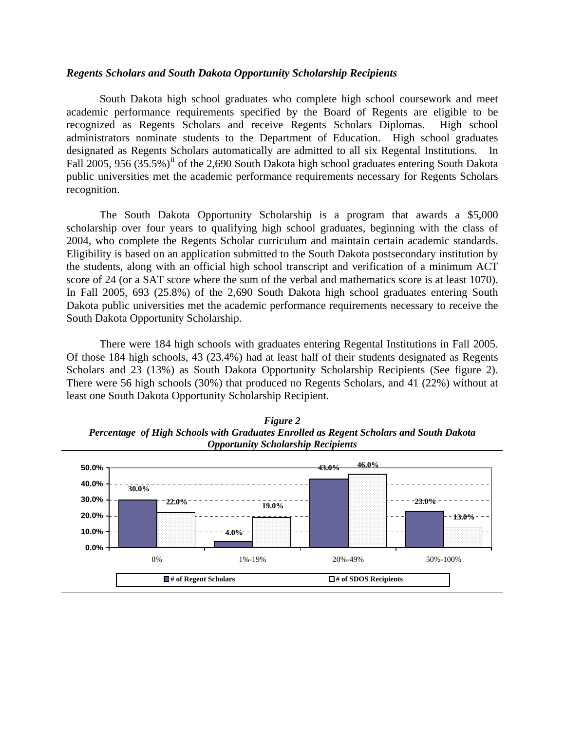### *Regents Scholars and South Dakota Opportunity Scholarship Recipients*

South Dakota high school graduates who complete high school coursework and meet academic performance requirements specified by the Board of Regents are eligible to be recognized as Regents Scholars and receive Regents Scholars Diplomas. High school administrators nominate students to the Department of Education. High school graduates designated as Regents Scholars automatically are admitted to all six Regental Institutions. In Fall 2005, 956 (35.5%)<sup>[ii](#page-14-1)</sup> of the 2,690 South Dakota high school graduates entering South Dakota public universities met the academic performance requirements necessary for Regents Scholars recognition.

The South Dakota Opportunity Scholarship is a program that awards a \$5,000 scholarship over four years to qualifying high school graduates, beginning with the class of 2004, who complete the Regents Scholar curriculum and maintain certain academic standards. Eligibility is based on an application submitted to the South Dakota postsecondary institution by the students, along with an official high school transcript and verification of a minimum ACT score of 24 (or a SAT score where the sum of the verbal and mathematics score is at least 1070). In Fall 2005, 693 (25.8%) of the 2,690 South Dakota high school graduates entering South Dakota public universities met the academic performance requirements necessary to receive the South Dakota Opportunity Scholarship.

There were 184 high schools with graduates entering Regental Institutions in Fall 2005. Of those 184 high schools, 43 (23.4%) had at least half of their students designated as Regents Scholars and 23 (13%) as South Dakota Opportunity Scholarship Recipients (See figure 2). There were 56 high schools (30%) that produced no Regents Scholars, and 41 (22%) without at least one South Dakota Opportunity Scholarship Recipient.



*Figure 2 Percentage of High Schools with Graduates Enrolled as Regent Scholars and South Dakota Opportunity Scholarship Recipients*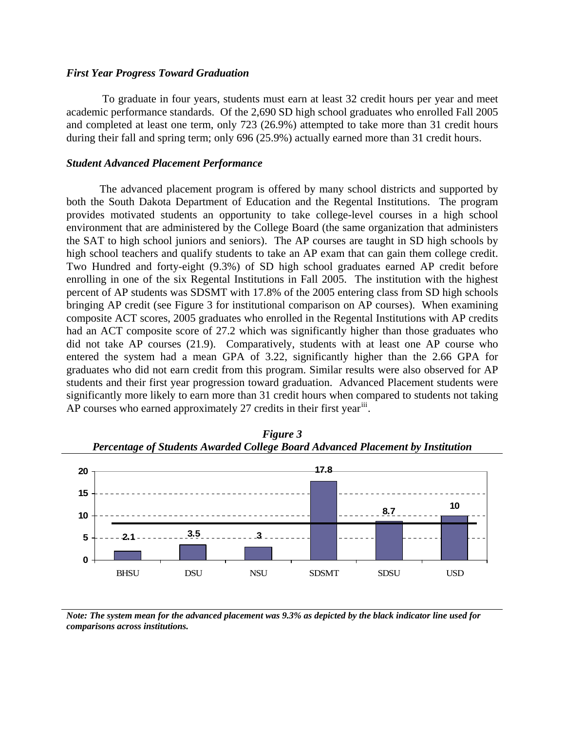### *First Year Progress Toward Graduation*

 To graduate in four years, students must earn at least 32 credit hours per year and meet academic performance standards. Of the 2,690 SD high school graduates who enrolled Fall 2005 and completed at least one term, only 723 (26.9%) attempted to take more than 31 credit hours during their fall and spring term; only 696 (25.9%) actually earned more than 31 credit hours.

### *Student Advanced Placement Performance*

The advanced placement program is offered by many school districts and supported by both the South Dakota Department of Education and the Regental Institutions. The program provides motivated students an opportunity to take college-level courses in a high school environment that are administered by the College Board (the same organization that administers the SAT to high school juniors and seniors). The AP courses are taught in SD high schools by high school teachers and qualify students to take an AP exam that can gain them college credit. Two Hundred and forty-eight (9.3%) of SD high school graduates earned AP credit before enrolling in one of the six Regental Institutions in Fall 2005. The institution with the highest percent of AP students was SDSMT with 17.8% of the 2005 entering class from SD high schools bringing AP credit (see Figure 3 for institutional comparison on AP courses). When examining composite ACT scores, 2005 graduates who enrolled in the Regental Institutions with AP credits had an ACT composite score of 27.2 which was significantly higher than those graduates who did not take AP courses (21.9). Comparatively, students with at least one AP course who entered the system had a mean GPA of 3.22, significantly higher than the 2.66 GPA for graduates who did not earn credit from this program. Similar results were also observed for AP students and their first year progression toward graduation. Advanced Placement students were significantly more likely to earn more than 31 credit hours when compared to students not taking AP courses who earned approximately 27 credits in their first year<sup>[iii](#page-14-1)</sup>.





*Note: The system mean for the advanced placement was 9.3% as depicted by the black indicator line used for comparisons across institutions.*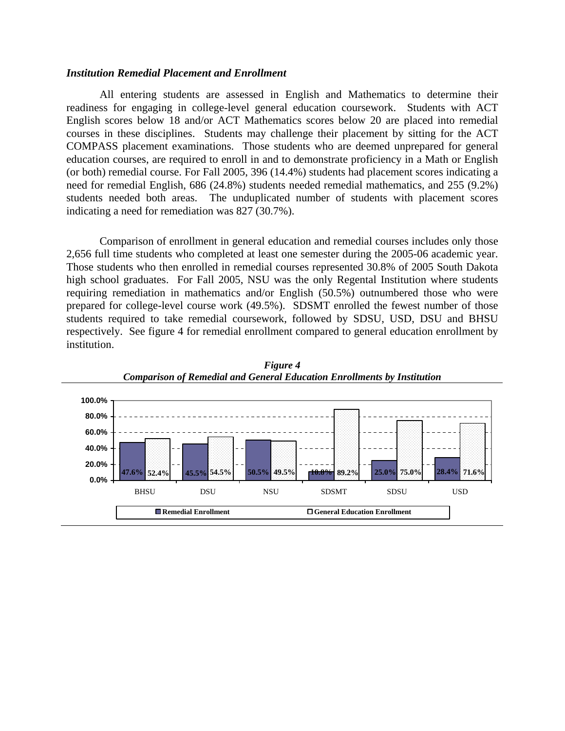#### *Institution Remedial Placement and Enrollment*

All entering students are assessed in English and Mathematics to determine their readiness for engaging in college-level general education coursework. Students with ACT English scores below 18 and/or ACT Mathematics scores below 20 are placed into remedial courses in these disciplines. Students may challenge their placement by sitting for the ACT COMPASS placement examinations. Those students who are deemed unprepared for general education courses, are required to enroll in and to demonstrate proficiency in a Math or English (or both) remedial course. For Fall 2005, 396 (14.4%) students had placement scores indicating a need for remedial English, 686 (24.8%) students needed remedial mathematics, and 255 (9.2%) students needed both areas. The unduplicated number of students with placement scores indicating a need for remediation was 827 (30.7%).

 Comparison of enrollment in general education and remedial courses includes only those 2,656 full time students who completed at least one semester during the 2005-06 academic year. Those students who then enrolled in remedial courses represented 30.8% of 2005 South Dakota high school graduates. For Fall 2005, NSU was the only Regental Institution where students requiring remediation in mathematics and/or English (50.5%) outnumbered those who were prepared for college-level course work (49.5%). SDSMT enrolled the fewest number of those students required to take remedial coursework, followed by SDSU, USD, DSU and BHSU respectively. See figure 4 for remedial enrollment compared to general education enrollment by institution.



*Figure 4 Comparison of Remedial and General Education Enrollments by Institution*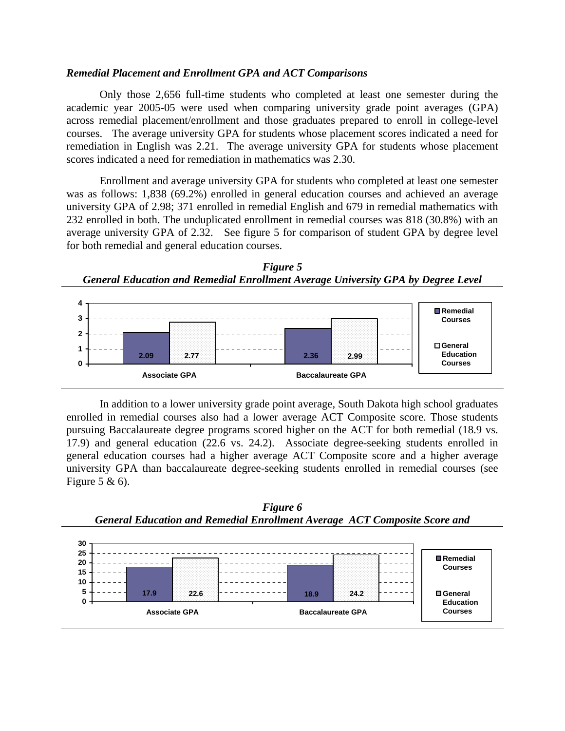#### *Remedial Placement and Enrollment GPA and ACT Comparisons*

Only those 2,656 full-time students who completed at least one semester during the academic year 2005-05 were used when comparing university grade point averages (GPA) across remedial placement/enrollment and those graduates prepared to enroll in college-level courses. The average university GPA for students whose placement scores indicated a need for remediation in English was 2.21. The average university GPA for students whose placement scores indicated a need for remediation in mathematics was 2.30.

Enrollment and average university GPA for students who completed at least one semester was as follows: 1,838 (69.2%) enrolled in general education courses and achieved an average university GPA of 2.98; 371 enrolled in remedial English and 679 in remedial mathematics with 232 enrolled in both. The unduplicated enrollment in remedial courses was 818 (30.8%) with an average university GPA of 2.32. See figure 5 for comparison of student GPA by degree level for both remedial and general education courses.





In addition to a lower university grade point average, South Dakota high school graduates enrolled in remedial courses also had a lower average ACT Composite score. Those students pursuing Baccalaureate degree programs scored higher on the ACT for both remedial (18.9 vs. 17.9) and general education (22.6 vs. 24.2). Associate degree-seeking students enrolled in general education courses had a higher average ACT Composite score and a higher average university GPA than baccalaureate degree-seeking students enrolled in remedial courses (see Figure 5 & 6).



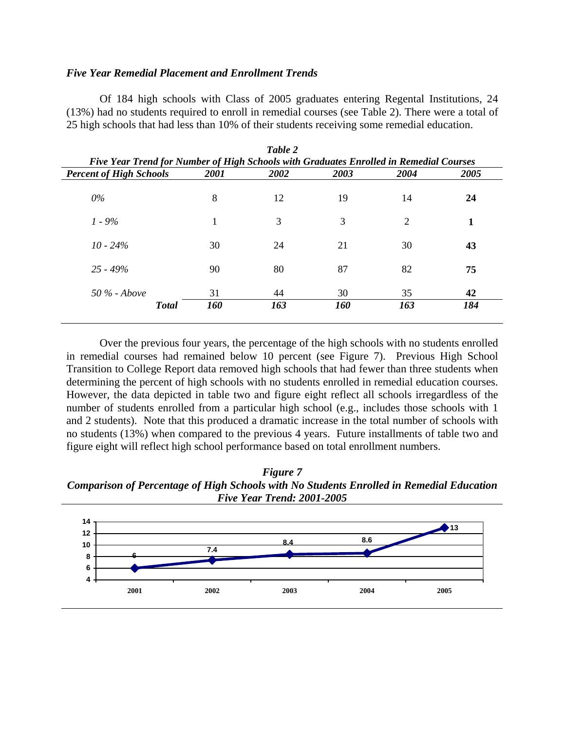### *Five Year Remedial Placement and Enrollment Trends*

Of 184 high schools with Class of 2005 graduates entering Regental Institutions, 24 (13%) had no students required to enroll in remedial courses (see Table 2). There were a total of 25 high schools that had less than 10% of their students receiving some remedial education.

|                                                                                        |      | Table 2 |      |                |      |  |  |  |  |  |
|----------------------------------------------------------------------------------------|------|---------|------|----------------|------|--|--|--|--|--|
| Five Year Trend for Number of High Schools with Graduates Enrolled in Remedial Courses |      |         |      |                |      |  |  |  |  |  |
| <b>Percent of High Schools</b>                                                         | 2001 | 2002    | 2003 | 2004           | 2005 |  |  |  |  |  |
| $0\%$                                                                                  | 8    | 12      | 19   | 14             | 24   |  |  |  |  |  |
| $1 - 9\%$                                                                              | 1    | 3       | 3    | $\overline{2}$ | 1    |  |  |  |  |  |
| $10 - 24\%$                                                                            | 30   | 24      | 21   | 30             | 43   |  |  |  |  |  |
| $25 - 49\%$                                                                            | 90   | 80      | 87   | 82             | 75   |  |  |  |  |  |
| $50\%$ - Above                                                                         | 31   | 44      | 30   | 35             | 42   |  |  |  |  |  |
| <b>Total</b>                                                                           | 160  | 163     | 160  | 163            | 184  |  |  |  |  |  |

Over the previous four years, the percentage of the high schools with no students enrolled in remedial courses had remained below 10 percent (see Figure 7). Previous High School Transition to College Report data removed high schools that had fewer than three students when determining the percent of high schools with no students enrolled in remedial education courses. However, the data depicted in table two and figure eight reflect all schools irregardless of the number of students enrolled from a particular high school (e.g., includes those schools with 1 and 2 students). Note that this produced a dramatic increase in the total number of schools with no students (13%) when compared to the previous 4 years. Future installments of table two and figure eight will reflect high school performance based on total enrollment numbers.

*Figure 7 Comparison of Percentage of High Schools with No Students Enrolled in Remedial Education Five Year Trend: 2001-2005*

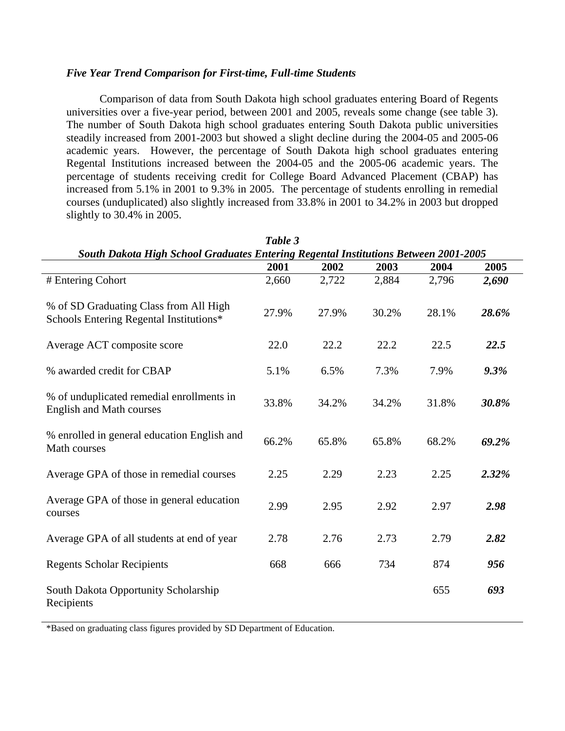### *Five Year Trend Comparison for First-time, Full-time Students*

Comparison of data from South Dakota high school graduates entering Board of Regents universities over a five-year period, between 2001 and 2005, reveals some change (see table 3). The number of South Dakota high school graduates entering South Dakota public universities steadily increased from 2001-2003 but showed a slight decline during the 2004-05 and 2005-06 academic years. However, the percentage of South Dakota high school graduates entering Regental Institutions increased between the 2004-05 and the 2005-06 academic years. The percentage of students receiving credit for College Board Advanced Placement (CBAP) has increased from 5.1% in 2001 to 9.3% in 2005. The percentage of students enrolling in remedial courses (unduplicated) also slightly increased from 33.8% in 2001 to 34.2% in 2003 but dropped slightly to 30.4% in 2005.

|                                                                                     | Table 3 |       |       |       |       |
|-------------------------------------------------------------------------------------|---------|-------|-------|-------|-------|
| South Dakota High School Graduates Entering Regental Institutions Between 2001-2005 |         |       |       |       |       |
|                                                                                     | 2001    | 2002  | 2003  | 2004  | 2005  |
| # Entering Cohort                                                                   | 2,660   | 2,722 | 2,884 | 2,796 | 2,690 |
| % of SD Graduating Class from All High<br>Schools Entering Regental Institutions*   | 27.9%   | 27.9% | 30.2% | 28.1% | 28.6% |
| Average ACT composite score                                                         | 22.0    | 22.2  | 22.2  | 22.5  | 22.5  |
| % awarded credit for CBAP                                                           | 5.1%    | 6.5%  | 7.3%  | 7.9%  | 9.3%  |
| % of unduplicated remedial enrollments in<br><b>English and Math courses</b>        | 33.8%   | 34.2% | 34.2% | 31.8% | 30.8% |
| % enrolled in general education English and<br>Math courses                         | 66.2%   | 65.8% | 65.8% | 68.2% | 69.2% |
| Average GPA of those in remedial courses                                            | 2.25    | 2.29  | 2.23  | 2.25  | 2.32% |
| Average GPA of those in general education<br>courses                                | 2.99    | 2.95  | 2.92  | 2.97  | 2.98  |
| Average GPA of all students at end of year                                          | 2.78    | 2.76  | 2.73  | 2.79  | 2.82  |
| <b>Regents Scholar Recipients</b>                                                   | 668     | 666   | 734   | 874   | 956   |
| South Dakota Opportunity Scholarship<br>Recipients                                  |         |       |       | 655   | 693   |

\*Based on graduating class figures provided by SD Department of Education.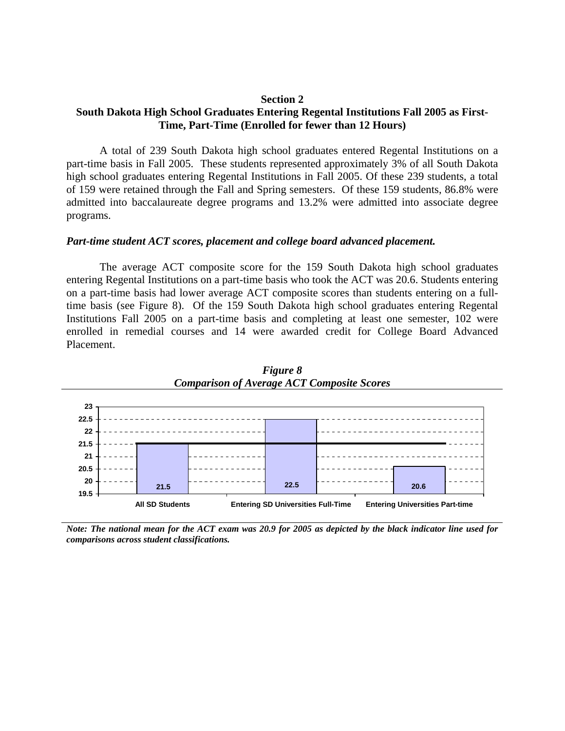#### **Section 2**

# **South Dakota High School Graduates Entering Regental Institutions Fall 2005 as First-Time, Part-Time (Enrolled for fewer than 12 Hours)**

A total of 239 South Dakota high school graduates entered Regental Institutions on a part-time basis in Fall 2005. These students represented approximately 3% of all South Dakota high school graduates entering Regental Institutions in Fall 2005. Of these 239 students, a total of 159 were retained through the Fall and Spring semesters. Of these 159 students, 86.8% were admitted into baccalaureate degree programs and 13.2% were admitted into associate degree programs.

#### *Part-time student ACT scores, placement and college board advanced placement.*

The average ACT composite score for the 159 South Dakota high school graduates entering Regental Institutions on a part-time basis who took the ACT was 20.6. Students entering on a part-time basis had lower average ACT composite scores than students entering on a fulltime basis (see Figure 8). Of the 159 South Dakota high school graduates entering Regental Institutions Fall 2005 on a part-time basis and completing at least one semester, 102 were enrolled in remedial courses and 14 were awarded credit for College Board Advanced Placement.



*Figure 8 Comparison of Average ACT Composite Scores* 

*Note: The national mean for the ACT exam was 20.9 for 2005 as depicted by the black indicator line used for comparisons across student classifications.*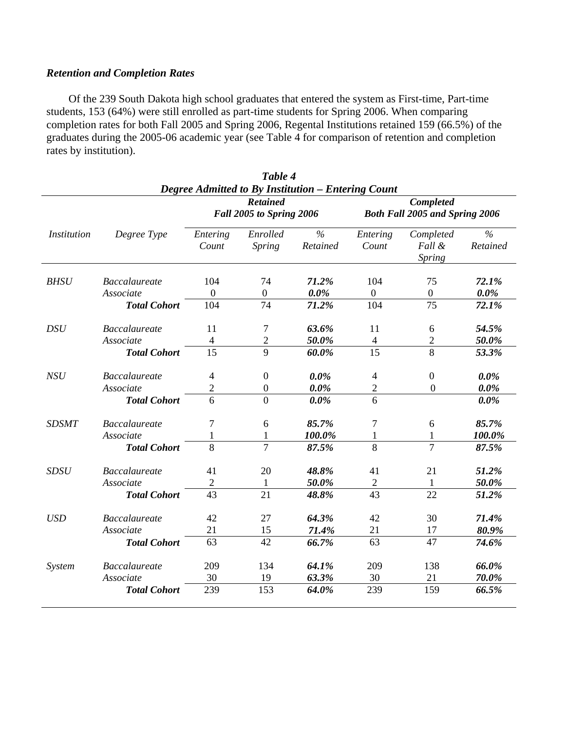# *Retention and Completion Rates*

Of the 239 South Dakota high school graduates that entered the system as First-time, Part-time students, 153 (64%) were still enrolled as part-time students for Spring 2006. When comparing completion rates for both Fall 2005 and Spring 2006, Regental Institutions retained 159 (66.5%) of the graduates during the 2005-06 academic year (see Table 4 for comparison of retention and completion rates by institution).

|                                                                                                                                                         |                                                          |                          | Table 4                                          |                               |                                                 |                                      |                               |  |  |  |
|---------------------------------------------------------------------------------------------------------------------------------------------------------|----------------------------------------------------------|--------------------------|--------------------------------------------------|-------------------------------|-------------------------------------------------|--------------------------------------|-------------------------------|--|--|--|
| Degree Admitted to By Institution - Entering Count<br>Completed<br><b>Retained</b><br><b>Fall 2005 to Spring 2006</b><br>Both Fall 2005 and Spring 2006 |                                                          |                          |                                                  |                               |                                                 |                                      |                               |  |  |  |
| <i>Institution</i>                                                                                                                                      | Degree Type                                              | Entering<br>Count        | Enrolled<br>Spring                               | $\frac{0}{0}$<br>Retained     | Entering<br>Count                               | Completed<br>Fall &<br><b>Spring</b> | $\frac{0}{6}$<br>Retained     |  |  |  |
| <b>BHSU</b>                                                                                                                                             | <b>Baccalaureate</b>                                     | 104                      | 74                                               | 71.2%                         | 104                                             | 75                                   | 72.1%                         |  |  |  |
|                                                                                                                                                         | Associate                                                | $\overline{0}$           | $\overline{0}$                                   | $0.0\%$                       | $\mathbf{0}$                                    | $\overline{0}$                       | $0.0\%$                       |  |  |  |
|                                                                                                                                                         | <b>Total Cohort</b>                                      | 104                      | 74                                               | 71.2%                         | 104                                             | 75                                   | 72.1%                         |  |  |  |
| <b>DSU</b>                                                                                                                                              | <b>Baccalaureate</b>                                     | 11                       | 7                                                | 63.6%                         | 11                                              | 6                                    | 54.5%                         |  |  |  |
|                                                                                                                                                         | Associate                                                | $\overline{4}$           | $\overline{2}$                                   | 50.0%                         | $\overline{4}$                                  | $\overline{2}$                       | 50.0%                         |  |  |  |
|                                                                                                                                                         | <b>Total Cohort</b>                                      | 15                       | 9                                                | 60.0%                         | 15                                              | 8                                    | 53.3%                         |  |  |  |
| NSU                                                                                                                                                     | <b>Baccalaureate</b><br>Associate<br><b>Total Cohort</b> | 4<br>$\overline{2}$<br>6 | $\boldsymbol{0}$<br>$\boldsymbol{0}$<br>$\theta$ | $0.0\%$<br>$0.0\%$<br>$0.0\%$ | $\overline{\mathcal{A}}$<br>$\overline{2}$<br>6 | $\boldsymbol{0}$<br>$\overline{0}$   | $0.0\%$<br>$0.0\%$<br>$0.0\%$ |  |  |  |
| <b>SDSMT</b>                                                                                                                                            | <b>Baccalaureate</b>                                     | 7                        | 6                                                | 85.7%                         | $\boldsymbol{7}$                                | 6                                    | 85.7%                         |  |  |  |
|                                                                                                                                                         | Associate                                                | 1                        | $\mathbf{1}$                                     | 100.0%                        | $\mathbf{1}$                                    | $\mathbf{1}$                         | 100.0%                        |  |  |  |
|                                                                                                                                                         | <b>Total Cohort</b>                                      | $\overline{8}$           | $\overline{7}$                                   | 87.5%                         | $\overline{8}$                                  | $\overline{7}$                       | 87.5%                         |  |  |  |
| <b>SDSU</b>                                                                                                                                             | <b>Baccalaureate</b>                                     | 41                       | 20                                               | 48.8%                         | 41                                              | 21                                   | 51.2%                         |  |  |  |
|                                                                                                                                                         | Associate                                                | $\overline{2}$           | 1                                                | 50.0%                         | 2                                               | $\mathbf{1}$                         | 50.0%                         |  |  |  |
|                                                                                                                                                         | <b>Total Cohort</b>                                      | 43                       | 21                                               | 48.8%                         | 43                                              | 22                                   | 51.2%                         |  |  |  |
| <b>USD</b>                                                                                                                                              | <b>Baccalaureate</b>                                     | 42                       | 27                                               | 64.3%                         | 42                                              | 30                                   | 71.4%                         |  |  |  |
|                                                                                                                                                         | Associate                                                | 21                       | 15                                               | 71.4%                         | 21                                              | 17                                   | 80.9%                         |  |  |  |
|                                                                                                                                                         | <b>Total Cohort</b>                                      | 63                       | 42                                               | 66.7%                         | 63                                              | 47                                   | 74.6%                         |  |  |  |
| System                                                                                                                                                  | <b>Baccalaureate</b>                                     | 209                      | 134                                              | 64.1%                         | 209                                             | 138                                  | 66.0%                         |  |  |  |
|                                                                                                                                                         | Associate                                                | 30                       | 19                                               | 63.3%                         | 30                                              | 21                                   | 70.0%                         |  |  |  |
|                                                                                                                                                         | <b>Total Cohort</b>                                      | 239                      | 153                                              | 64.0%                         | 239                                             | 159                                  | 66.5%                         |  |  |  |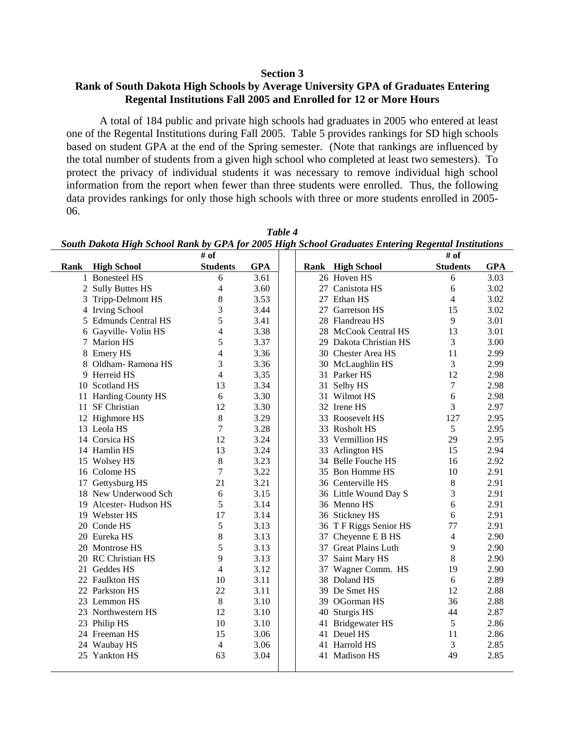#### **Section 3**

### **Rank of South Dakota High Schools by Average University GPA of Graduates Entering Regental Institutions Fall 2005 and Enrolled for 12 or More Hours**

A total of 184 public and private high schools had graduates in 2005 who entered at least one of the Regental Institutions during Fall 2005. Table 5 provides rankings for SD high schools based on student GPA at the end of the Spring semester. (Note that rankings are influenced by the total number of students from a given high school who completed at least two semesters). To protect the privacy of individual students it was necessary to remove individual high school information from the report when fewer than three students were enrolled. Thus, the following data provides rankings for only those high schools with three or more students enrolled in 2005- 06.

|      |                           | # of                     |            |    |                         | # of            |            |
|------|---------------------------|--------------------------|------------|----|-------------------------|-----------------|------------|
| Rank | <b>High School</b>        | <b>Students</b>          | <b>GPA</b> |    | <b>Rank</b> High School | <b>Students</b> | <b>GPA</b> |
|      | 1 Bonesteel HS            | 6                        | 3.61       |    | 26 Hoven HS             | 6               | 3.03       |
|      | 2 Sully Buttes HS         | 4                        | 3.60       |    | 27 Canistota HS         | 6               | 3.02       |
| 3    | Tripp-Delmont HS          | 8                        | 3.53       | 27 | Ethan HS                | $\overline{4}$  | 3.02       |
| 4    | <b>Irving School</b>      | 3                        | 3.44       |    | 27 Garretson HS         | 15              | 3.02       |
| 5    | <b>Edmunds Central HS</b> | 5                        | 3.41       |    | 28 Flandreau HS         | 9               | 3.01       |
| 6    | Gayville- Volin HS        | 4                        | 3.38       |    | 28 McCook Central HS    | 13              | 3.01       |
|      | 7 Marion HS               | 5                        | 3.37       |    | 29 Dakota Christian HS  | 3               | 3.00       |
| 8    | <b>Emery HS</b>           | 4                        | 3.36       |    | 30 Chester Area HS      | 11              | 2.99       |
| 8    | Oldham-Ramona HS          | 3                        | 3.36       |    | 30 McLaughlin HS        | 3               | 2.99       |
| 9    | Herreid HS                | 4                        | 3.35       |    | 31 Parker HS            | 12              | 2.98       |
|      | 10 Scotland HS            | 13                       | 3.34       |    | 31 Selby HS             | 7               | 2.98       |
|      | 11 Harding County HS      | 6                        | 3.30       |    | 31 Wilmot HS            | 6               | 2.98       |
|      | 11 SF Christian           | 12                       | 3.30       |    | 32 Irene HS             | 3               | 2.97       |
|      | 12 Highmore HS            | 8                        | 3.29       |    | 33 Roosevelt HS         | 127             | 2.95       |
|      | 13 Leola HS               | 7                        | 3.28       |    | 33 Rosholt HS           | 5               | 2.95       |
|      | 14 Corsica HS             | 12                       | 3.24       |    | 33 Vermillion HS        | 29              | 2.95       |
|      | 14 Hamlin HS              | 13                       | 3.24       |    | 33 Arlington HS         | 15              | 2.94       |
|      | 15 Wolsey HS              | 8                        | 3.23       |    | 34 Belle Fouche HS      | 16              | 2.92       |
|      | 16 Colome HS              | 7                        | 3.22       |    | 35 Bon Homme HS         | 10              | 2.91       |
|      | 17 Gettysburg HS          | 21                       | 3.21       |    | 36 Centerville HS       | 8               | 2.91       |
|      | 18 New Underwood Sch      | 6                        | 3.15       |    | 36 Little Wound Day S   | 3               | 2.91       |
|      | 19 Alcester- Hudson HS    | 5                        | 3.14       |    | 36 Menno HS             | 6               | 2.91       |
|      | 19 Webster HS             | 17                       | 3.14       |    | 36 Stickney HS          | 6               | 2.91       |
|      | 20 Conde HS               | 5                        | 3.13       |    | 36 TF Riggs Senior HS   | 77              | 2.91       |
|      | 20 Eureka HS              | 8                        | 3.13       |    | 37 Cheyenne E B HS      | $\overline{4}$  | 2.90       |
|      | 20 Montrose HS            | 5                        | 3.13       |    | 37 Great Plains Luth    | 9               | 2.90       |
|      | 20 RC Christian HS        | 9                        | 3.13       |    | 37 Saint Mary HS        | 8               | 2.90       |
|      | 21 Geddes HS              | $\overline{\mathcal{L}}$ | 3.12       |    | 37 Wagner Comm. HS      | 19              | 2.90       |
|      | 22 Faulkton HS            | 10                       | 3.11       |    | 38 Doland HS            | 6               | 2.89       |
|      | 22 Parkston HS            | 22                       | 3.11       |    | 39 De Smet HS           | 12              | 2.88       |
|      | 23 Lemmon HS              | 8                        | 3.10       |    | 39 OGorman HS           | 36              | 2.88       |
|      | 23 Northwestern HS        | 12                       | 3.10       |    | 40 Sturgis HS           | 44              | 2.87       |
|      | 23 Philip HS              | 10                       | 3.10       |    | 41 Bridgewater HS       | 5               | 2.86       |
|      | 24 Freeman HS             | 15                       | 3.06       |    | 41 Deuel HS             | 11              | 2.86       |
|      | 24 Waubay HS              | 4                        | 3.06       |    | 41 Harrold HS           | 3               | 2.85       |
|      | 25 Yankton HS             | 63                       | 3.04       |    | 41 Madison HS           | 49              | 2.85       |
|      |                           |                          |            |    |                         |                 |            |

*Table 4 South Dakota High School Rank by GPA for 2005 High School Graduates Entering Regental Institutions*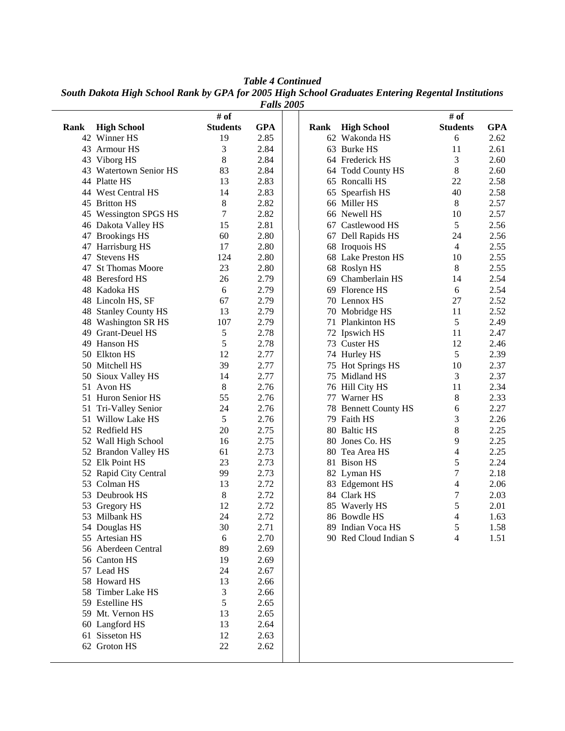*Table 4 Continued* 

*South Dakota High School Rank by GPA for 2005 High School Graduates Entering Regental Institutions* 

| <b>Falls 2005</b> |                        |                 |              |      |  |                       |                 |            |  |  |
|-------------------|------------------------|-----------------|--------------|------|--|-----------------------|-----------------|------------|--|--|
|                   |                        | # of            |              |      |  |                       | # of            |            |  |  |
| Rank              | <b>High School</b>     | <b>Students</b> | <b>GPA</b>   | Rank |  | <b>High School</b>    | <b>Students</b> | <b>GPA</b> |  |  |
|                   | 42 Winner HS           | 19              | 2.85         |      |  | 62 Wakonda HS         | 6               | 2.62       |  |  |
|                   | 43 Armour HS           | 3               | 2.84         |      |  | 63 Burke HS           | 11              | 2.61       |  |  |
|                   | 43 Viborg HS           | 8               | 2.84         |      |  | 64 Frederick HS       | 3               | 2.60       |  |  |
|                   | 43 Watertown Senior HS | 83              | 2.84         |      |  | 64 Todd County HS     | 8               | 2.60       |  |  |
|                   | 44 Platte HS           | 13              | 2.83         |      |  | 65 Roncalli HS        | 22              | 2.58       |  |  |
|                   | 44 West Central HS     | 14              | 2.83         |      |  | 65 Spearfish HS       | 40              | 2.58       |  |  |
|                   | 45 Britton HS          | $\,8\,$         | 2.82         |      |  | 66 Miller HS          | 8               | 2.57       |  |  |
|                   | 45 Wessington SPGS HS  | 7               | 2.82         |      |  | 66 Newell HS          | 10              | 2.57       |  |  |
|                   | 46 Dakota Valley HS    | 15              | 2.81         |      |  | 67 Castlewood HS      | 5               | 2.56       |  |  |
|                   | 47 Brookings HS        | 60              | 2.80         |      |  | 67 Dell Rapids HS     | 24              | 2.56       |  |  |
|                   | 47 Harrisburg HS       | 17              | 2.80         |      |  | 68 Iroquois HS        | 4               | 2.55       |  |  |
| 47                | <b>Stevens HS</b>      | 124             | 2.80         |      |  | 68 Lake Preston HS    | 10              | 2.55       |  |  |
| 47                | <b>St Thomas Moore</b> | 23              | 2.80         |      |  | 68 Roslyn HS          | 8               | 2.55       |  |  |
|                   | 48 Beresford HS        | 26              | 2.79         |      |  | 69 Chamberlain HS     | 14              | 2.54       |  |  |
|                   | 48 Kadoka HS           | 6               | 2.79         |      |  | 69 Florence HS        | 6               | 2.54       |  |  |
|                   | 48 Lincoln HS, SF      | 67              | 2.79         |      |  | 70 Lennox HS          | 27              | 2.52       |  |  |
|                   | 48 Stanley County HS   | 13              | 2.79         |      |  | 70 Mobridge HS        | 11              | 2.52       |  |  |
|                   | 48 Washington SR HS    | 107             | 2.79         |      |  | 71 Plankinton HS      | 5               | 2.49       |  |  |
|                   | 49 Grant-Deuel HS      | 5               | 2.78         |      |  | 72 Ipswich HS         | 11              | 2.47       |  |  |
|                   | 49 Hanson HS           | 5               | 2.78         |      |  | 73 Custer HS          | 12              | 2.46       |  |  |
|                   | 50 Elkton HS           | 12              | 2.77         |      |  | 74 Hurley HS          | 5               | 2.39       |  |  |
|                   |                        |                 |              |      |  |                       |                 |            |  |  |
|                   | 50 Mitchell HS         | 39<br>14        | 2.77<br>2.77 |      |  | 75 Hot Springs HS     | 10              | 2.37       |  |  |
| 50                | Sioux Valley HS        | 8               |              |      |  | 75 Midland HS         | 3               | 2.37       |  |  |
|                   | 51 Avon HS             |                 | 2.76         |      |  | 76 Hill City HS       | 11              | 2.34       |  |  |
|                   | 51 Huron Senior HS     | 55              | 2.76         |      |  | 77 Warner HS          | 8               | 2.33       |  |  |
|                   | 51 Tri-Valley Senior   | 24              | 2.76         |      |  | 78 Bennett County HS  | 6               | 2.27       |  |  |
|                   | 51 Willow Lake HS      | 5               | 2.76         |      |  | 79 Faith HS           | 3               | 2.26       |  |  |
|                   | 52 Redfield HS         | 20              | 2.75         |      |  | 80 Baltic HS          | 8               | 2.25       |  |  |
|                   | 52 Wall High School    | 16              | 2.75         |      |  | 80 Jones Co. HS       | 9               | 2.25       |  |  |
|                   | 52 Brandon Valley HS   | 61              | 2.73         |      |  | 80 Tea Area HS        | 4               | 2.25       |  |  |
|                   | 52 Elk Point HS        | 23              | 2.73         |      |  | 81 Bison HS           | 5               | 2.24       |  |  |
|                   | 52 Rapid City Central  | 99              | 2.73         |      |  | 82 Lyman HS           | 7               | 2.18       |  |  |
|                   | 53 Colman HS           | 13              | 2.72         |      |  | 83 Edgemont HS        | 4               | 2.06       |  |  |
|                   | 53 Deubrook HS         | 8               | 2.72         |      |  | 84 Clark HS           | 7               | 2.03       |  |  |
|                   | 53 Gregory HS          | 12              | 2.72         |      |  | 85 Waverly HS         | 5               | 2.01       |  |  |
|                   | 53 Milbank HS          | 24              | 2.72         |      |  | 86 Bowdle HS          | $\overline{4}$  | 1.63       |  |  |
|                   | 54 Douglas HS          | 30              | 2.71         |      |  | 89 Indian Voca HS     | $\mathfrak s$   | 1.58       |  |  |
|                   | 55 Artesian HS         | 6               | 2.70         |      |  | 90 Red Cloud Indian S | $\overline{4}$  | 1.51       |  |  |
|                   | 56 Aberdeen Central    | 89              | 2.69         |      |  |                       |                 |            |  |  |
|                   | 56 Canton HS           | 19              | 2.69         |      |  |                       |                 |            |  |  |
|                   | 57 Lead HS             | 24              | 2.67         |      |  |                       |                 |            |  |  |
|                   | 58 Howard HS           | 13              | 2.66         |      |  |                       |                 |            |  |  |
|                   | 58 Timber Lake HS      | 3               | 2.66         |      |  |                       |                 |            |  |  |
|                   | 59 Estelline HS        | 5               | 2.65         |      |  |                       |                 |            |  |  |
|                   | 59 Mt. Vernon HS       | 13              | 2.65         |      |  |                       |                 |            |  |  |
|                   | 60 Langford HS         | 13              | 2.64         |      |  |                       |                 |            |  |  |
|                   | 61 Sisseton HS         | 12              | 2.63         |      |  |                       |                 |            |  |  |
|                   | 62 Groton HS           | 22              | 2.62         |      |  |                       |                 |            |  |  |
|                   |                        |                 |              |      |  |                       |                 |            |  |  |